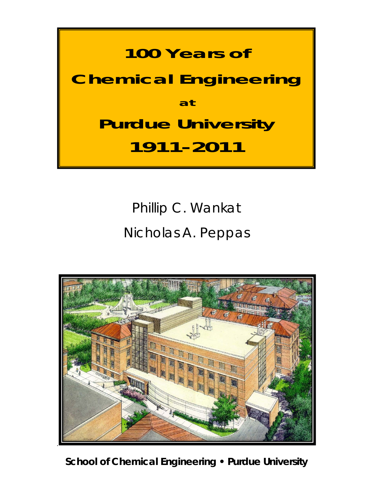#### **100 Years of**

# **Chemical Engineering at Purdue University 1911-2011**

### Phillip C. Wankat Nicholas A. Peppas



**School of Chemical Engineering • Purdue University**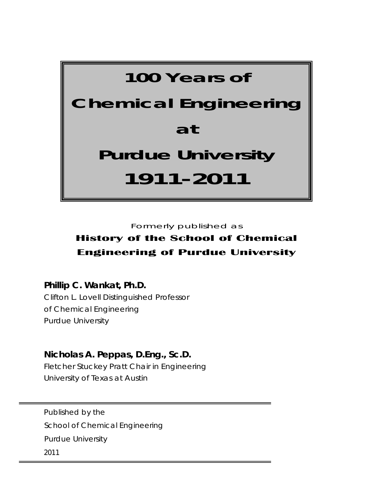# **100 Years of Chemical Engineering at Purdue University 1911-2011**

Formerly published as

#### **History of the School of Chemical Engineering of Purdue University**

**Phillip C. Wankat, Ph.D.**

Clifton L. Lovell Distinguished Professor of Chemical Engineering Purdue University

**Nicholas A. Peppas, D.Eng., Sc.D.**  Fletcher Stuckey Pratt Chair in Engineering

University of Texas at Austin

Published by the School of Chemical Engineering Purdue University 2011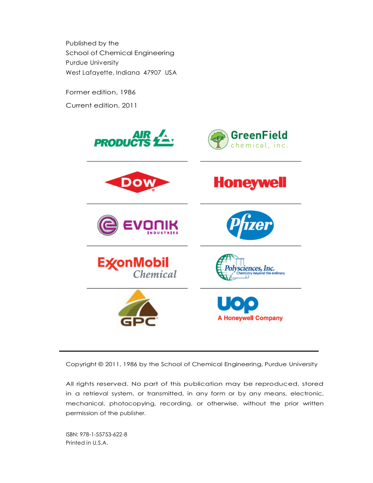Published by the School of Chemical Engineering Purdue University West Lafayette, Indiana 47907 USA

Former edition, 1986

Current edition, 2011



Copyright © 2011, 1986 by the School of Chemical Engineering, Purdue University

All rights reserved. No part of this publication may be reproduced, stored in a retrieval system, or transmitted, in any form or by any means, electronic, mechanical, photocopying, recording, or otherwise, without the prior written permission of the publisher.

ISBN: 978-1-55753-622-8 Printed in U.S.A.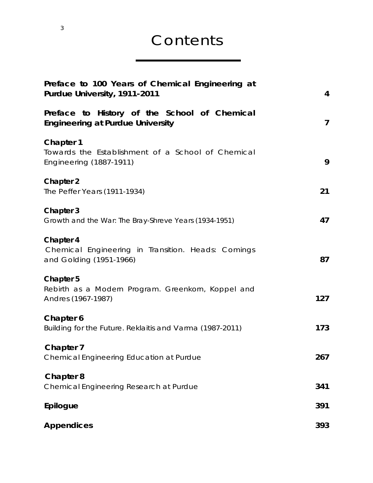#### Contents

| Preface to 100 Years of Chemical Engineering at<br>Purdue University, 1911-2011                         | $\overline{4}$          |
|---------------------------------------------------------------------------------------------------------|-------------------------|
| Preface to History of the School of Chemical<br><b>Engineering at Purdue University</b>                 | $\overline{\mathbf{z}}$ |
| <b>Chapter 1</b><br>Towards the Establishment of a School of Chemical<br><b>Engineering (1887-1911)</b> | 9                       |
| <b>Chapter 2</b><br>The Peffer Years (1911-1934)                                                        | 21                      |
| Chapter 3<br>Growth and the War: The Bray-Shreve Years (1934-1951)                                      | 47                      |
| Chapter 4<br>Chemical Engineering in Transition. Heads: Comings<br>and Golding (1951-1966)              | 87                      |
| <b>Chapter 5</b><br>Rebirth as a Modern Program. Greenkorn, Koppel and<br>Andres (1967-1987)            | 127                     |
| Chapter 6<br>Building for the Future. Reklaitis and Varma (1987-2011)                                   | 173                     |
| <b>Chapter 7</b><br>Chemical Engineering Education at Purdue                                            | 267                     |
| <b>Chapter 8</b><br>Chemical Engineering Research at Purdue                                             | 341                     |
| Epilogue                                                                                                | 391                     |
| <b>Appendices</b>                                                                                       | 393                     |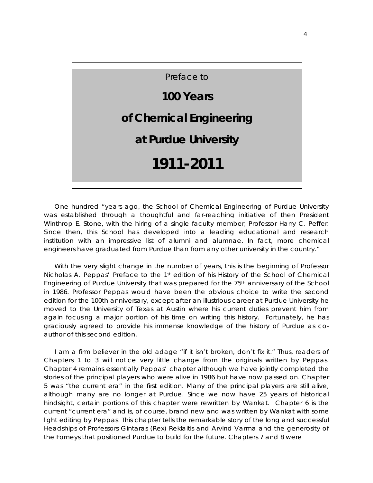One hundred "years ago, the School of Chemical Engineering of Purdue University was established through a thoughtful and far-reaching initiative of then President Winthrop E. Stone, with the hiring of a single faculty member, Professor Harry C. Peffer. Since then, this School has developed into a leading educational and research institution with an impressive list of alumni and alumnae. In fact, more chemical engineers have graduated from Purdue than from any other university in the country."

With the very slight change in the number of years, this is the beginning of Professor Nicholas A. Peppas' Preface to the 1st edition of his H*istory of the School of Chemical Engineering of Purdue University* that was prepared for the 75th anniversary of the School in 1986. Professor Peppas would have been the obvious choice to write the second edition for the 100th anniversary, except after an illustrious career at Purdue University he moved to the University of Texas at Austin where his current duties prevent him from again focusing a major portion of his time on writing this history. Fortunately, he has graciously agreed to provide his immense knowledge of the history of Purdue as coauthor of this second edition.

I am a firm believer in the old adage "if it isn't broken, don't fix it." Thus, readers of Chapters 1 to 3 will notice very little change from the originals written by Peppas. Chapter 4 remains essentially Peppas' chapter although we have jointly completed the stories of the principal players who were alive in 1986 but have now passed on. Chapter 5 was "the current era" in the first edition. Many of the principal players are still alive, although many are no longer at Purdue. Since we now have 25 years of historical hindsight, certain portions of this chapter were rewritten by Wankat. Chapter 6 is the current "current era" and is, of course, brand new and was written by Wankat with some light editing by Peppas. This chapter tells the remarkable story of the long and successful Headships of Professors Gintaras (Rex) Reklaitis and Arvind Varma and the generosity of the Forneys that positioned Purdue to build for the future. Chapters 7 and 8 were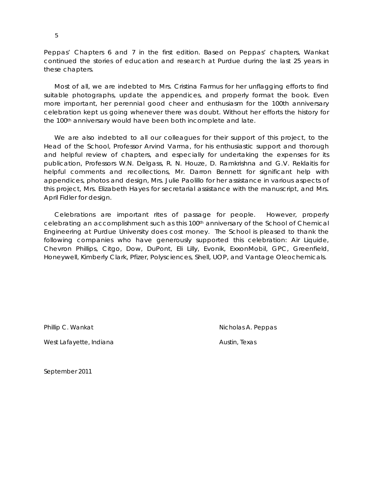Peppas' Chapters 6 and 7 in the first edition. Based on Peppas' chapters, Wankat continued the stories of education and research at Purdue during the last 25 years in these chapters.

Most of all, we are indebted to Mrs. Cristina Farmus for her unflagging efforts to find suitable photographs, update the appendices, and properly format the book. Even more important, her perennial good cheer and enthusiasm for the 100th anniversary celebration kept us going whenever there was doubt. Without her efforts the history for the 100<sup>th</sup> anniversary would have been both incomplete and late.

We are also indebted to all our colleagues for their support of this project, to the Head of the School, Professor Arvind Varma, for his enthusiastic support and thorough and helpful review of chapters, and especially for undertaking the expenses for its publication, Professors W.N. Delgass, R. N. Houze, D. Ramkrishna and G.V. Reklaitis for helpful comments and recollections, Mr. Darron Bennett for significant help with appendices, photos and design, Mrs. Julie Paolillo for her assistance in various aspects of this project, Mrs. Elizabeth Hayes for secretarial assistance with the manuscript, and Mrs. April Fidler for design.

Celebrations are important rites of passage for people. However, properly celebrating an accomplishment such as this 100th anniversary of the School of Chemical Engineering at Purdue University does cost money. The School is pleased to thank the following companies who have generously supported this celebration: Air Liquide, Chevron Phillips, Citgo, Dow, DuPont, Eli Lilly, Evonik, ExxonMobil, GPC, Greenfield, Honeywell, Kimberly Clark, Pfizer, Polysciences, Shell, UOP, and Vantage Oleochemicals.

West Lafayette, Indiana **Austin**, Texas

Phillip C. Wankat Nicholas A. Peppas

September 2011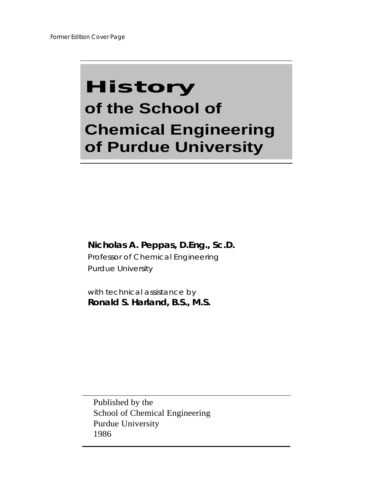## History **of the School of Chemical Engineering of Purdue University**

#### **Nicholas A. Peppas, D.Eng., Sc.D.**

Professor of Chemical Engineering Purdue University

with technical assistance by **Ronald S. Harland, B.S., M.S.**

Published by the School of Chemical Engineering Purdue University 1986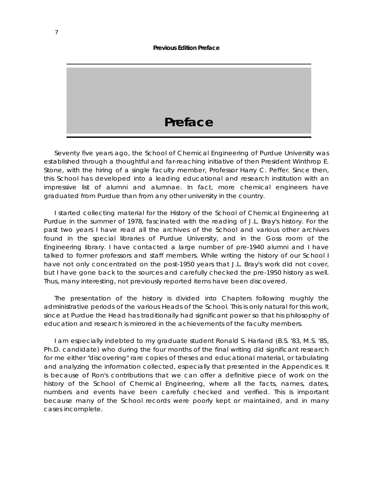# **Preface**

Seventy five years ago, the School of Chemical Engineering of Purdue University was established through a thoughtful and far-reaching initiative of then President Winthrop E. Stone, with the hiring of a single faculty member, Professor Harry C. Peffer. Since then, this School has developed into a leading educational and research institution with an impressive list of alumni and alumnae. In fact, more chemical engineers have graduated from Purdue than from any other university in the country.

I started collecting material for the History of the School of Chemical Engineering at Purdue in the summer of 1978, fascinated with the reading of J.L. Bray's history. For the past two years I have read all the archives of the School and various other archives found in the special libraries of Purdue University, and in the Goss room of the Engineering library. I have contacted a large number of pre-1940 alumni and I have talked to former professors and staff members. While writing the history of our School I have not only concentrated on the post-1950 years that J.L. Bray's work did not cover, but I have gone back to the sources and carefully checked the pre-1950 history as well. Thus, many interesting, not previously reported items have been discovered.

The presentation of the history is divided into Chapters following roughly the administrative periods of the various Heads of the School. This is only natural for this work, since at Purdue the Head has traditionally had significant power so that his philosophy of education and research is mirrored in the achievements of the faculty members.

I am especially indebted to my graduate student Ronald S. Harland (B.S. '83, M.S. '85, Ph.D. candidate) who during the four months of the final writing did significant research for me either "discovering" rare copies of theses and educational material, or tabulating and analyzing the information collected, especially that presented in the Appendices. It is because of Ron's contributions that we can offer a definitive piece of work on the history of the School of Chemical Engineering, where all the facts, names, dates, numbers and events have been carefully checked and verified. This is important because many of the School records were poorly kept or maintained, and in many cases incomplete.